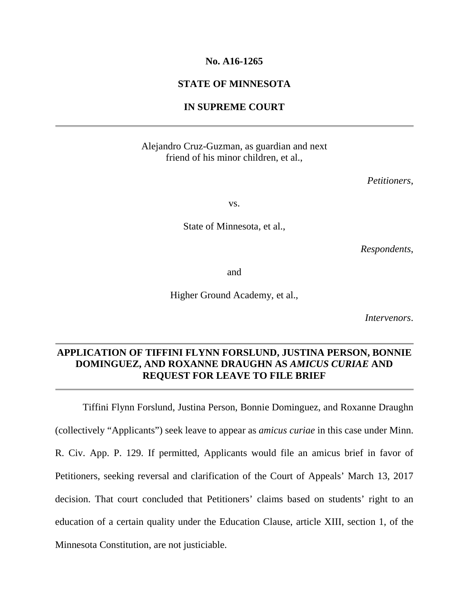## **No. A16-1265**

## **STATE OF MINNESOTA**

### **IN SUPREME COURT**

## Alejandro Cruz-Guzman, as guardian and next friend of his minor children, et al.,

*Petitioners*,

vs.

State of Minnesota, et al.,

*Respondents*,

and

Higher Ground Academy, et al.,

*Intervenors*.

# **APPLICATION OF TIFFINI FLYNN FORSLUND, JUSTINA PERSON, BONNIE DOMINGUEZ, AND ROXANNE DRAUGHN AS** *AMICUS CURIAE* **AND REQUEST FOR LEAVE TO FILE BRIEF**

Tiffini Flynn Forslund, Justina Person, Bonnie Dominguez, and Roxanne Draughn (collectively "Applicants") seek leave to appear as *amicus curiae* in this case under Minn. R. Civ. App. P. 129. If permitted, Applicants would file an amicus brief in favor of Petitioners, seeking reversal and clarification of the Court of Appeals' March 13, 2017 decision. That court concluded that Petitioners' claims based on students' right to an education of a certain quality under the Education Clause, article XIII, section 1, of the Minnesota Constitution, are not justiciable.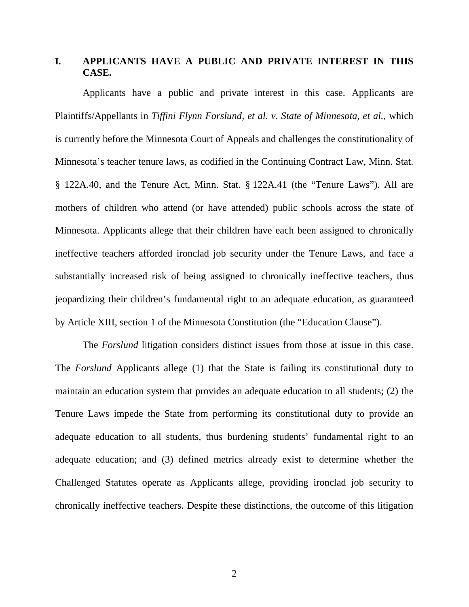# **I. APPLICANTS HAVE A PUBLIC AND PRIVATE INTEREST IN THIS CASE.**

Applicants have a public and private interest in this case. Applicants are Plaintiffs/Appellants in *Tiffini Flynn Forslund, et al. v. State of Minnesota, et al.*, which is currently before the Minnesota Court of Appeals and challenges the constitutionality of Minnesota's teacher tenure laws, as codified in the Continuing Contract Law, Minn. Stat. § 122A.40, and the Tenure Act, Minn. Stat. § 122A.41 (the "Tenure Laws"). All are mothers of children who attend (or have attended) public schools across the state of Minnesota. Applicants allege that their children have each been assigned to chronically ineffective teachers afforded ironclad job security under the Tenure Laws, and face a substantially increased risk of being assigned to chronically ineffective teachers, thus jeopardizing their children's fundamental right to an adequate education, as guaranteed by Article XIII, section 1 of the Minnesota Constitution (the "Education Clause").

The *Forslund* litigation considers distinct issues from those at issue in this case. The *Forslund* Applicants allege (1) that the State is failing its constitutional duty to maintain an education system that provides an adequate education to all students; (2) the Tenure Laws impede the State from performing its constitutional duty to provide an adequate education to all students, thus burdening students' fundamental right to an adequate education; and (3) defined metrics already exist to determine whether the Challenged Statutes operate as Applicants allege, providing ironclad job security to chronically ineffective teachers. Despite these distinctions, the outcome of this litigation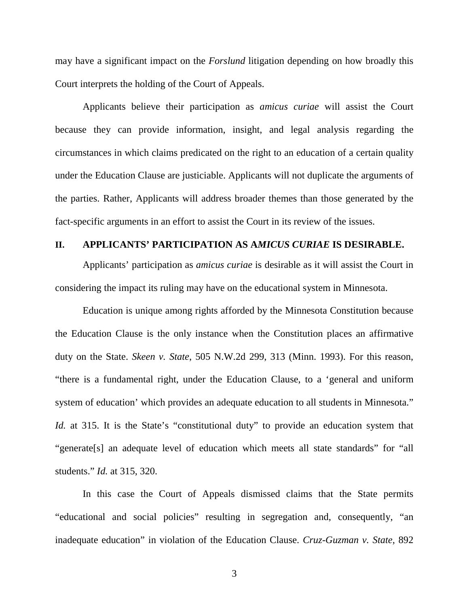may have a significant impact on the *Forslund* litigation depending on how broadly this Court interprets the holding of the Court of Appeals.

Applicants believe their participation as *amicus curiae* will assist the Court because they can provide information, insight, and legal analysis regarding the circumstances in which claims predicated on the right to an education of a certain quality under the Education Clause are justiciable. Applicants will not duplicate the arguments of the parties. Rather, Applicants will address broader themes than those generated by the fact-specific arguments in an effort to assist the Court in its review of the issues.

#### **II. APPLICANTS' PARTICIPATION AS A***MICUS CURIAE* **IS DESIRABLE.**

Applicants' participation as *amicus curiae* is desirable as it will assist the Court in considering the impact its ruling may have on the educational system in Minnesota.

Education is unique among rights afforded by the Minnesota Constitution because the Education Clause is the only instance when the Constitution places an affirmative duty on the State. *Skeen v. State*, 505 N.W.2d 299, 313 (Minn. 1993). For this reason, "there is a fundamental right, under the Education Clause, to a 'general and uniform system of education' which provides an adequate education to all students in Minnesota." *Id.* at 315. It is the State's "constitutional duty" to provide an education system that "generate[s] an adequate level of education which meets all state standards" for "all students." *Id.* at 315, 320.

In this case the Court of Appeals dismissed claims that the State permits "educational and social policies" resulting in segregation and, consequently, "an inadequate education" in violation of the Education Clause. *Cruz-Guzman v. State*, 892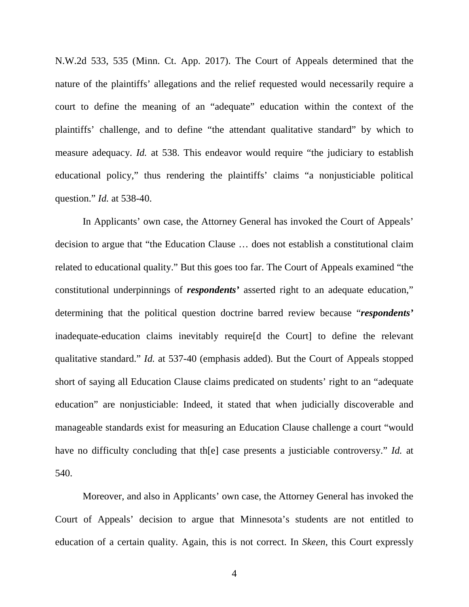N.W.2d 533, 535 (Minn. Ct. App. 2017). The Court of Appeals determined that the nature of the plaintiffs' allegations and the relief requested would necessarily require a court to define the meaning of an "adequate" education within the context of the plaintiffs' challenge, and to define "the attendant qualitative standard" by which to measure adequacy. *Id.* at 538. This endeavor would require "the judiciary to establish educational policy," thus rendering the plaintiffs' claims "a nonjusticiable political question." *Id.* at 538-40.

In Applicants' own case, the Attorney General has invoked the Court of Appeals' decision to argue that "the Education Clause … does not establish a constitutional claim related to educational quality." But this goes too far. The Court of Appeals examined "the constitutional underpinnings of *respondents'* asserted right to an adequate education," determining that the political question doctrine barred review because "*respondents'* inadequate-education claims inevitably require[d the Court] to define the relevant qualitative standard." *Id.* at 537-40 (emphasis added). But the Court of Appeals stopped short of saying all Education Clause claims predicated on students' right to an "adequate education" are nonjusticiable: Indeed, it stated that when judicially discoverable and manageable standards exist for measuring an Education Clause challenge a court "would have no difficulty concluding that th[e] case presents a justiciable controversy." *Id.* at 540.

Moreover, and also in Applicants' own case, the Attorney General has invoked the Court of Appeals' decision to argue that Minnesota's students are not entitled to education of a certain quality. Again, this is not correct. In *Skeen*, this Court expressly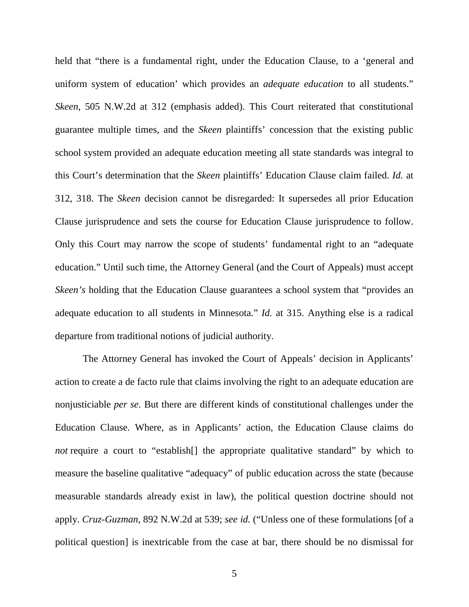held that "there is a fundamental right, under the Education Clause, to a 'general and uniform system of education' which provides an *adequate education* to all students." *Skeen*, 505 N.W.2d at 312 (emphasis added). This Court reiterated that constitutional guarantee multiple times, and the *Skeen* plaintiffs' concession that the existing public school system provided an adequate education meeting all state standards was integral to this Court's determination that the *Skeen* plaintiffs' Education Clause claim failed. *Id.* at 312, 318. The *Skeen* decision cannot be disregarded: It supersedes all prior Education Clause jurisprudence and sets the course for Education Clause jurisprudence to follow. Only this Court may narrow the scope of students' fundamental right to an "adequate education." Until such time, the Attorney General (and the Court of Appeals) must accept *Skeen's* holding that the Education Clause guarantees a school system that "provides an adequate education to all students in Minnesota." *Id.* at 315. Anything else is a radical departure from traditional notions of judicial authority.

The Attorney General has invoked the Court of Appeals' decision in Applicants' action to create a de facto rule that claims involving the right to an adequate education are nonjusticiable *per se*. But there are different kinds of constitutional challenges under the Education Clause. Where, as in Applicants' action, the Education Clause claims do *not* require a court to "establish<sup>[]</sup> the appropriate qualitative standard" by which to measure the baseline qualitative "adequacy" of public education across the state (because measurable standards already exist in law), the political question doctrine should not apply. *Cruz-Guzman*, 892 N.W.2d at 539; *see id.* ("Unless one of these formulations [of a political question] is inextricable from the case at bar, there should be no dismissal for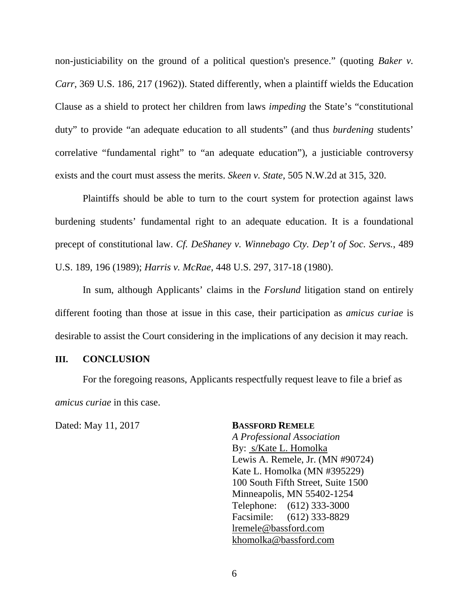non-justiciability on the ground of a political question's presence." (quoting *Baker v. Carr*, 369 U.S. 186, 217 (1962)). Stated differently, when a plaintiff wields the Education Clause as a shield to protect her children from laws *impeding* the State's "constitutional duty" to provide "an adequate education to all students" (and thus *burdening* students' correlative "fundamental right" to "an adequate education"), a justiciable controversy exists and the court must assess the merits. *Skeen v. State*, 505 N.W.2d at 315, 320.

Plaintiffs should be able to turn to the court system for protection against laws burdening students' fundamental right to an adequate education. It is a foundational precept of constitutional law. *Cf. DeShaney v. Winnebago Cty. Dep't of Soc. Servs.*, 489 U.S. 189, 196 (1989); *Harris v. McRae*, 448 U.S. 297, 317-18 (1980).

In sum, although Applicants' claims in the *Forslund* litigation stand on entirely different footing than those at issue in this case, their participation as *amicus curiae* is desirable to assist the Court considering in the implications of any decision it may reach.

#### **III. CONCLUSION**

For the foregoing reasons, Applicants respectfully request leave to file a brief as *amicus curiae* in this case.

Dated: May 11, 2017 **BASSFORD REMELE**

*A Professional Association* By: s/Kate L. Homolka Lewis A. Remele, Jr. (MN #90724) Kate L. Homolka (MN #395229) 100 South Fifth Street, Suite 1500 Minneapolis, MN 55402-1254 Telephone: (612) 333-3000 Facsimile: (612) 333-8829 lremele@bassford.com khomolka@bassford.com